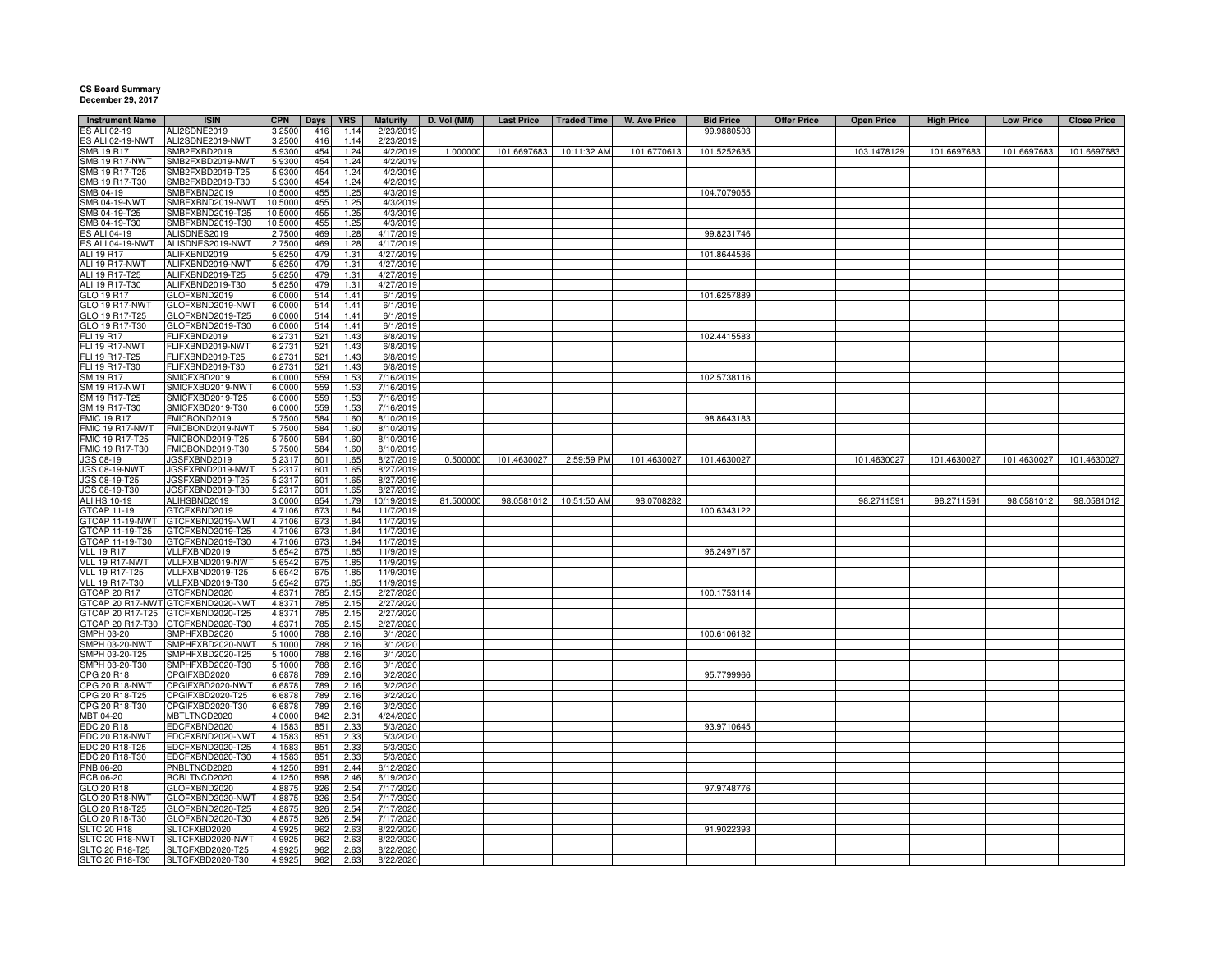## **CS Board Summary December 29, 2017**

| <b>Instrument Name</b>               | <b>ISIN</b>                       | <b>CPN</b>       | <b>Days</b> | <b>YRS</b>   | <b>Maturity</b>         | D. Vol (MM) | <b>Last Price</b> | <b>Traded Time</b> | <b>W. Ave Price</b> | <b>Bid Price</b> | <b>Offer Price</b> | <b>Open Price</b> | <b>High Price</b> | <b>Low Price</b> | <b>Close Price</b> |
|--------------------------------------|-----------------------------------|------------------|-------------|--------------|-------------------------|-------------|-------------------|--------------------|---------------------|------------------|--------------------|-------------------|-------------------|------------------|--------------------|
| ES ALI 02-19                         | ALI2SDNE2019                      | 3.2500           | 416         | 1.14         | 2/23/2019               |             |                   |                    |                     | 99.9880503       |                    |                   |                   |                  |                    |
| ES ALI 02-19-NWT                     | ALI2SDNE2019-NWT                  | 3.2500           | 416         | 1.14         | 2/23/2019               |             |                   |                    |                     |                  |                    |                   |                   |                  |                    |
| <b>SMB 19 R17</b>                    | SMB2FXBD2019                      | 5.9300           | 454         | 1.24         | 4/2/2019                | 1.000000    | 101.6697683       | 10:11:32 AM        | 101.6770613         | 101.5252635      |                    | 103.1478129       | 101.6697683       | 101.6697683      | 101.6697683        |
| <b>SMB 19 R17-NWT</b>                | SMB2FXBD2019-NWT                  | 5.9300           | 454         | 1.24         | 4/2/2019                |             |                   |                    |                     |                  |                    |                   |                   |                  |                    |
| SMB 19 R17-T25                       | SMB2FXBD2019-T25                  | 5.9300           | 454         | 1.24         | 4/2/2019                |             |                   |                    |                     |                  |                    |                   |                   |                  |                    |
| SMB 19 R17-T30                       | SMB2FXBD2019-T30                  | 5.9300           | 454         | 1.24         | 4/2/2019                |             |                   |                    |                     |                  |                    |                   |                   |                  |                    |
| SMB 04-19                            | SMBFXBND2019                      | 10.5000          | 455         | 1.25         | 4/3/2019                |             |                   |                    |                     | 104.7079055      |                    |                   |                   |                  |                    |
| SMB 04-19-NWT                        | SMBFXBND2019-NW                   | 10.5000          | 455         | 12!          | 4/3/2019                |             |                   |                    |                     |                  |                    |                   |                   |                  |                    |
| SMB 04-19-T25                        | SMBFXBND2019-T25                  | 10.5000          | 455         | 1.25         | 4/3/2019                |             |                   |                    |                     |                  |                    |                   |                   |                  |                    |
| MB 04-19-T30                         | SMBFXBND2019-T30                  | 10.5000          | 455         | 1.25         | 4/3/2019                |             |                   |                    |                     |                  |                    |                   |                   |                  |                    |
| <b>ES ALI 04-19</b>                  | ALISDNES2019                      | 2.7500           | 469         | 1.28         | 4/17/2019               |             |                   |                    |                     | 99.8231746       |                    |                   |                   |                  |                    |
| ES ALI 04-19-NWT                     | ALISDNES2019-NWT                  | 2.7500           | 469         | 1.28         | 4/17/2019               |             |                   |                    |                     |                  |                    |                   |                   |                  |                    |
| <b>ALI 19 R17</b>                    | ALIFXBND2019                      | 5.6250           | 479         | 1.31         | 4/27/2019               |             |                   |                    |                     | 101.8644536      |                    |                   |                   |                  |                    |
| ALI 19 R17-NWT                       | ALIFXBND2019-NWT                  | 5.6250           | 479         | 1.31         | 4/27/2019               |             |                   |                    |                     |                  |                    |                   |                   |                  |                    |
| ALI 19 R17-T25                       | ALIFXBND2019-T25                  | 5.6250           | 479         | 1.31         | 4/27/2019               |             |                   |                    |                     |                  |                    |                   |                   |                  |                    |
| ALI 19 R17-T30                       | ALIFXBND2019-T30                  | 5.6250           | 479         | 1.31         | 4/27/2019               |             |                   |                    |                     |                  |                    |                   |                   |                  |                    |
| GLO 19 R17                           | GLOFXBND2019                      | 6.0000           | 514         | 1.41         | 6/1/2019                |             |                   |                    |                     | 101.6257889      |                    |                   |                   |                  |                    |
| GLO 19 R17-NWT                       | GLOFXBND2019-NWT                  | 6.0000           | 514         | 1.41         | 6/1/2019                |             |                   |                    |                     |                  |                    |                   |                   |                  |                    |
| GLO 19 R17-T25                       | GLOFXBND2019-T25                  | 6.0000           | 514         | 1.41         | 6/1/2019                |             |                   |                    |                     |                  |                    |                   |                   |                  |                    |
| GLO 19 R17-T30                       | GLOFXBND2019-T30                  | 6.0000           | 514         | 1.41         | 6/1/2019                |             |                   |                    |                     |                  |                    |                   |                   |                  |                    |
| FLI 19 R17                           | FLIFXBND2019                      | 6.273            | 521         | 1.43         | 6/8/2019                |             |                   |                    |                     | 102.4415583      |                    |                   |                   |                  |                    |
| <b>FLI 19 R17-NWT</b>                | FLIFXBND2019-NWT                  | 6.2731           | 521         | 1.43         | 6/8/2019                |             |                   |                    |                     |                  |                    |                   |                   |                  |                    |
| FLI 19 R17-T25                       | FLIFXBND2019-T25                  | 6.2731           | 521         | 1.43         | 6/8/2019                |             |                   |                    |                     |                  |                    |                   |                   |                  |                    |
| FLI 19 R17-T30                       | FLIFXBND2019-T30                  | 6.2731           | 521         | 1.43         | 6/8/2019                |             |                   |                    |                     |                  |                    |                   |                   |                  |                    |
| SM 19 R17                            | SMICFXBD2019                      | 6.0000           | 559         | 1.53         | 7/16/2019               |             |                   |                    |                     | 102.5738116      |                    |                   |                   |                  |                    |
| <b>SM 19 R17-NWT</b>                 | SMICFXBD2019-NWT                  | 6.0000           | 559         | 1.53         | 7/16/2019               |             |                   |                    |                     |                  |                    |                   |                   |                  |                    |
| SM 19 R17-T25                        | SMICFXBD2019-T25                  | 6.0000           | 559         | 1.53         | 7/16/2019               |             |                   |                    |                     |                  |                    |                   |                   |                  |                    |
| SM 19 R17-T30                        | SMICFXBD2019-T30                  | 6.0000           | 559         | 1.53         | 7/16/2019               |             |                   |                    |                     |                  |                    |                   |                   |                  |                    |
| <b>FMIC 19 R17</b>                   | FMICBOND2019                      | 5.7500           | 584         | 1.60         | 8/10/2019               |             |                   |                    |                     | 98.8643183       |                    |                   |                   |                  |                    |
| FMIC 19 R17-NWT                      | FMICBOND2019-NWT                  | 5.7500           | 584         | 1.60         | 8/10/2019               |             |                   |                    |                     |                  |                    |                   |                   |                  |                    |
| FMIC 19 R17-T25                      | FMICBOND2019-T25                  | 5.7500           | 584         | 1.60         | 8/10/2019               |             |                   |                    |                     |                  |                    |                   |                   |                  |                    |
| FMIC 19 R17-T30                      | FMICBOND2019-T30                  | 5.7500           | 584         | 1.60         | 8/10/2019               |             |                   |                    |                     |                  |                    |                   |                   |                  |                    |
| JGS 08-19                            | JGSFXBND2019                      | 5.2317           | 601         | 1.65         | 8/27/2019               | 0.500000    | 101.4630027       | 2:59:59 PM         | 101.4630027         | 101.4630027      |                    | 101.4630027       | 101.4630027       | 101.4630027      | 101.4630027        |
| JGS 08-19-NWT                        | JGSFXBND2019-NWT                  | 5.2317           | 601         | 1.65         | 8/27/2019               |             |                   |                    |                     |                  |                    |                   |                   |                  |                    |
| JGS 08-19-T25                        | JGSFXBND2019-T25                  | 5.2317           | 601         | 1.65         | 8/27/2019               |             |                   |                    |                     |                  |                    |                   |                   |                  |                    |
| JGS 08-19-T30                        | JGSFXBND2019-T30                  | 5.2317           | 601         | 1.65         | 8/27/2019               |             |                   |                    |                     |                  |                    |                   |                   |                  |                    |
| ALI HS 10-19                         | ALIHSBND2019                      | 3.0000           | 654         | 1.79         | 10/19/2019<br>11/7/2019 | 81.500000   | 98.0581012        | 10:51:50 AM        | 98.0708282          |                  |                    | 98.2711591        | 98.2711591        | 98.0581012       | 98.0581012         |
| GTCAP 11-19                          | GTCFXBND2019                      | 4.7106           | 673         | 1.84         |                         |             |                   |                    |                     | 100.6343122      |                    |                   |                   |                  |                    |
| TCAP 11-19-NWT                       | GTCFXBND2019-NWT                  | 4.7106           | 673         | 1.84         | 11/7/2019               |             |                   |                    |                     |                  |                    |                   |                   |                  |                    |
| GTCAP 11-19-T25                      | GTCFXBND2019-T25                  | 4.7106           | 673         | 1.84         | 11/7/2019               |             |                   |                    |                     |                  |                    |                   |                   |                  |                    |
| GTCAP 11-19-T30<br><b>VLL 19 R17</b> | GTCFXBND2019-T30<br>VLLFXBND2019  | 4.7106<br>5.6542 | 673<br>675  | 1.84<br>1.85 | 11/7/2019<br>11/9/2019  |             |                   |                    |                     |                  |                    |                   |                   |                  |                    |
| VLL 19 R17-NWT                       | VLLFXBND2019-NWT                  | 5.6542           |             | 1.85         | 11/9/2019               |             |                   |                    |                     | 96.2497167       |                    |                   |                   |                  |                    |
| <b>VLL 19 R17-T25</b>                | VLLFXBND2019-T25                  |                  | 675<br>675  | 1.85         | 11/9/2019               |             |                   |                    |                     |                  |                    |                   |                   |                  |                    |
| <b>VLL 19 R17-T30</b>                | VLLFXBND2019-T30                  | 5.6542           | 675         | 1.85         | 11/9/2019               |             |                   |                    |                     |                  |                    |                   |                   |                  |                    |
| GTCAP 20 R17                         | GTCFXBND2020                      | 5.6542<br>4.8371 | 785         | 2.15         | 2/27/2020               |             |                   |                    |                     | 100.1753114      |                    |                   |                   |                  |                    |
|                                      | GTCAP 20 R17-NWT GTCFXBND2020-NWT | 4.8371           | 785         | 2.15         | 2/27/2020               |             |                   |                    |                     |                  |                    |                   |                   |                  |                    |
| GTCAP 20 R17-T25                     | GTCFXBND2020-T25                  | 4.8371           | 785         | 2.15         | 2/27/2020               |             |                   |                    |                     |                  |                    |                   |                   |                  |                    |
| GTCAP 20 R17-T30                     | GTCFXBND2020-T30                  | 4.8371           | 785         | 2.15         | 2/27/2020               |             |                   |                    |                     |                  |                    |                   |                   |                  |                    |
| SMPH 03-20                           | SMPHFXBD2020                      | 5.1000           | 788         | 2.16         | 3/1/2020                |             |                   |                    |                     | 100.6106182      |                    |                   |                   |                  |                    |
| MPH 03-20-NWT                        | SMPHFXBD2020-NW                   | 5.1000           | 788         | 2.16         | 3/1/2020                |             |                   |                    |                     |                  |                    |                   |                   |                  |                    |
| MPH 03-20-T25                        | SMPHFXBD2020-T25                  | 5.1000           | 788         | 2.16         | 3/1/2020                |             |                   |                    |                     |                  |                    |                   |                   |                  |                    |
| SMPH 03-20-T30                       | SMPHFXBD2020-T30                  | 5.1000           | 788         | 216          | 3/1/202                 |             |                   |                    |                     |                  |                    |                   |                   |                  |                    |
| PG 20 R18                            | CPGIFXBD2020                      | 6.6878           | <b>789</b>  | 2.16         | 3/2/2020                |             |                   |                    |                     | 95.7799966       |                    |                   |                   |                  |                    |
| PG 20 R18-NWT                        | CPGIFXBD2020-NWT                  | 6.6878           | <b>789</b>  | 2.16         | 3/2/2020                |             |                   |                    |                     |                  |                    |                   |                   |                  |                    |
| PG 20 R18-T25                        | CPGIFXBD2020-T25                  | 6.6878           | 789         | 2.16         | 3/2/2020                |             |                   |                    |                     |                  |                    |                   |                   |                  |                    |
| PG 20 R18-T30                        | CPGIFXBD2020-T30                  | 6.6878           | 789         | 2.16         | 3/2/2020                |             |                   |                    |                     |                  |                    |                   |                   |                  |                    |
| ABT 04-20                            | MBTLTNCD2020                      | 4.0000           | 842         | 2.31         | 4/24/2020               |             |                   |                    |                     |                  |                    |                   |                   |                  |                    |
| <b>EDC 20 R18</b>                    | EDCFXBND2020                      | 4.1583           | 851         | 2.33         | 5/3/2020                |             |                   |                    |                     | 93.9710645       |                    |                   |                   |                  |                    |
| EDC 20 R18-NWT                       | EDCFXBND2020-NWT                  | 4.1583           | 851         | 2.33         | 5/3/2020                |             |                   |                    |                     |                  |                    |                   |                   |                  |                    |
|                                      | EDCFXBND2020-T25                  | 4.158            | 851         | 2.33         | 5/3/2020                |             |                   |                    |                     |                  |                    |                   |                   |                  |                    |
| EDC 20 R18-T25<br>EDC 20 R18-T30     | EDCFXBND2020-T30                  | 4.158            | 851         | 2.33         | 5/3/2020                |             |                   |                    |                     |                  |                    |                   |                   |                  |                    |
| <b>PNB 06-20</b>                     | PNBLTNCD2020                      | 4.1250           | 891         | 2.44         | 6/12/2020               |             |                   |                    |                     |                  |                    |                   |                   |                  |                    |
| RCB 06-20                            | RCBLTNCD2020                      | 4.1250           | 898         | 2.46         | 6/19/2020               |             |                   |                    |                     |                  |                    |                   |                   |                  |                    |
| GLO 20 R18                           | GLOFXBND2020                      | 4.8875           | 926         | 2.54         | 7/17/2020               |             |                   |                    |                     | 97.9748776       |                    |                   |                   |                  |                    |
| GLO 20 R18-NWT                       | GLOFXBND2020-NWT                  | 4.8875           | 926         | 2.54         | 7/17/2020               |             |                   |                    |                     |                  |                    |                   |                   |                  |                    |
| GLO 20 R18-T25                       | GLOFXBND2020-T25                  | 4.8875           | 926         | 2.54         | 7/17/2020               |             |                   |                    |                     |                  |                    |                   |                   |                  |                    |
| GLO 20 R18-T30                       | GLOFXBND2020-T30                  | 4.887            | 926         | 2.54         | 7/17/2020               |             |                   |                    |                     |                  |                    |                   |                   |                  |                    |
| <b>SLTC 20 R18</b>                   | SLTCFXBD2020                      | 4.992            | 962         | 2.63         | 8/22/2020               |             |                   |                    |                     | 91.9022393       |                    |                   |                   |                  |                    |
| SLTC 20 R18-NWT                      | SLTCFXBD2020-NWT                  | 4.9925           | 962         | 2.63         | 8/22/2020               |             |                   |                    |                     |                  |                    |                   |                   |                  |                    |
| SLTC 20 R18-T25                      | SLTCFXBD2020-T25                  | 4.9925           | 962         | 2.63         | 8/22/2020               |             |                   |                    |                     |                  |                    |                   |                   |                  |                    |
| SLTC 20 R18-T30                      | SLTCFXBD2020-T30                  | 4.9925           | 962         | 2.63         | 8/22/2020               |             |                   |                    |                     |                  |                    |                   |                   |                  |                    |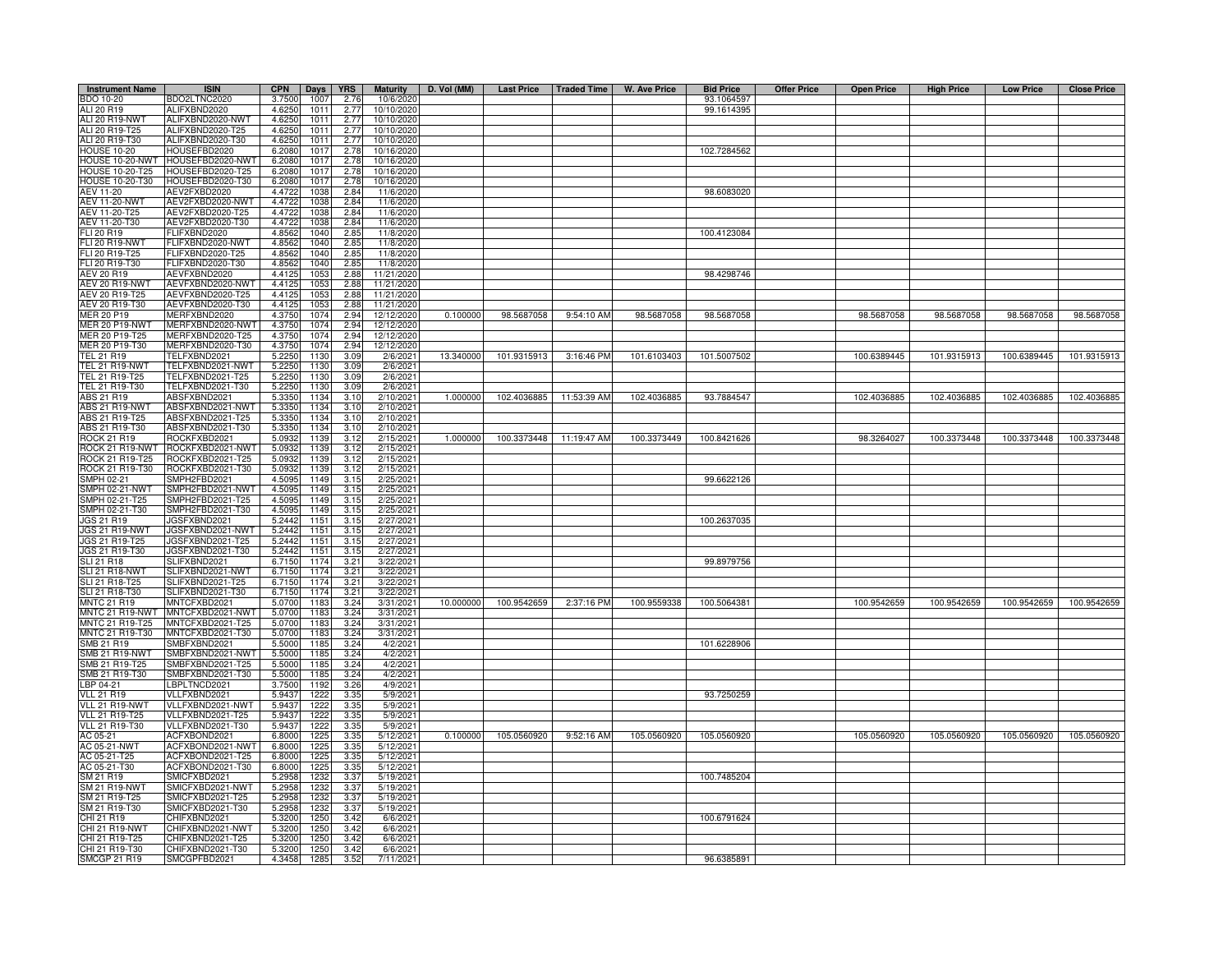| <b>Instrument Name</b>           | <b>ISIN</b>                          | <b>CPN</b>       | Days             | <b>YRS</b>   | <b>Maturity</b>        | D. Vol (MM) |             |                          | Last Price   Traded Time   W. Ave Price | <b>Bid Price</b> | <b>Offer Price</b> | <b>Open Price</b> | <b>High Price</b> | <b>Low Price</b> | <b>Close Price</b> |
|----------------------------------|--------------------------------------|------------------|------------------|--------------|------------------------|-------------|-------------|--------------------------|-----------------------------------------|------------------|--------------------|-------------------|-------------------|------------------|--------------------|
| BDO 10-20                        | BDO2LTNC2020                         | 3.7500           | 1007             | 2.76         | 10/6/2020              |             |             |                          |                                         | 93.1064597       |                    |                   |                   |                  |                    |
| ALI 20 R19                       | ALIFXBND2020                         | 4.6250           | 1011             | 2.77         | 10/10/2020             |             |             |                          |                                         | 99.1614395       |                    |                   |                   |                  |                    |
| ALI 20 R19-NWT                   | ALIFXBND2020-NWT                     | 4.6250           | 1011             | 2.77         | 10/10/2020             |             |             |                          |                                         |                  |                    |                   |                   |                  |                    |
| ALI 20 R19-T25                   | ALIFXBND2020-T25                     | 4.6250           | 1011             | 2.77         | 10/10/2020             |             |             |                          |                                         |                  |                    |                   |                   |                  |                    |
| ALI 20 R19-T30                   | ALIFXBND2020-T30                     | 4.6250           | 1011             | 2.77         | 10/10/2020             |             |             |                          |                                         |                  |                    |                   |                   |                  |                    |
| <b>HOUSE 10-20</b>               | HOUSEFBD2020                         | 6.2080           | 1017             | 2.78         | 10/16/2020             |             |             |                          |                                         | 102.7284562      |                    |                   |                   |                  |                    |
| HOUSE 10-20-NWT                  | HOUSEFBD2020-NWT                     | 6.2080           | 101              | 2.78         | 10/16/2020             |             |             |                          |                                         |                  |                    |                   |                   |                  |                    |
| HOUSE 10-20-T25                  | HOUSEFBD2020-T25                     | 6.2080           | 1017             | 2.78         | 10/16/2020             |             |             |                          |                                         |                  |                    |                   |                   |                  |                    |
| HOUSE 10-20-T30                  | HOUSEFBD2020-T30                     | 6.2080           | 1017             | 2.78         | 10/16/2020             |             |             |                          |                                         |                  |                    |                   |                   |                  |                    |
| AEV 11-20                        | AEV2FXBD2020                         | 4.4722           | 1038             | 2.84         | 11/6/2020              |             |             |                          |                                         | 98.6083020       |                    |                   |                   |                  |                    |
| <b>AEV 11-20-NWT</b>             | AEV2FXBD2020-NWT                     | 4.4722           | 1038             | 2.84         | 11/6/2020              |             |             |                          |                                         |                  |                    |                   |                   |                  |                    |
| AEV 11-20-T25                    | AEV2FXBD2020-T25                     | 4.4722           | 1038             | 2.84         | 11/6/2020              |             |             |                          |                                         |                  |                    |                   |                   |                  |                    |
| AEV 11-20-T30                    | AEV2FXBD2020-T30                     | 4.4722           | 1038             | 2.84         | 11/6/2020              |             |             |                          |                                         |                  |                    |                   |                   |                  |                    |
| FLI 20 R19                       | FLIFXBND2020                         | 4.8562           | 1040             | 2.85         | 11/8/2020              |             |             |                          |                                         | 100.4123084      |                    |                   |                   |                  |                    |
| FLI 20 R19-NWT                   | FLIFXBND2020-NWT                     | 4.8562           | 1040             | 2.85         | 11/8/2020              |             |             |                          |                                         |                  |                    |                   |                   |                  |                    |
| FLI 20 R19-T25<br>FLI 20 R19-T30 | FLIFXBND2020-T25<br>FLIFXBND2020-T30 | 4.8562           | 1040<br>1040     | 2.85<br>2.85 | 11/8/2020<br>11/8/2020 |             |             |                          |                                         |                  |                    |                   |                   |                  |                    |
| <b>AEV 20 R19</b>                | AEVFXBND2020                         | 4.8562<br>4.4125 | 105              | 2.88         | 11/21/2020             |             |             |                          |                                         | 98.4298746       |                    |                   |                   |                  |                    |
| AEV 20 R19-NWT                   | AEVFXBND2020-NWT                     | 4.4125           | 105              | 2.88         | 11/21/2020             |             |             |                          |                                         |                  |                    |                   |                   |                  |                    |
| AEV 20 R19-T25                   | AEVFXBND2020-T25                     | 4.4125           | 1053             | 2.88         | 11/21/2020             |             |             |                          |                                         |                  |                    |                   |                   |                  |                    |
| AEV 20 R19-T30                   | AEVFXBND2020-T30                     | 4.4125           | 1053             | 2.88         | 11/21/2020             |             |             |                          |                                         |                  |                    |                   |                   |                  |                    |
| <b>MER 20 P19</b>                | MERFXBND2020                         | 4.3750           | 1074             | 2.94         | 12/12/2020             | 0.100000    | 98.5687058  | 9:54:10 AM               | 98.5687058                              | 98.5687058       |                    | 98.5687058        | 98.5687058        | 98.5687058       | 98.5687058         |
| <b>MER 20 P19-NWT</b>            | MERFXBND2020-NWT                     | 4.3750           | 1074             | 2.94         | 12/12/2020             |             |             |                          |                                         |                  |                    |                   |                   |                  |                    |
| MER 20 P19-T25                   | MERFXBND2020-T25                     | 4.3750           | 1074             | 2.94         | 12/12/2020             |             |             |                          |                                         |                  |                    |                   |                   |                  |                    |
| MER 20 P19-T30                   | MERFXBND2020-T30                     | 4.3750           | 1074             | 2.94         | 12/12/2020             |             |             |                          |                                         |                  |                    |                   |                   |                  |                    |
| TEL 21 R19                       | FELFXBND2021                         | 5.225            | 1130             | 3.09         | 2/6/2021               | 13.340000   | 101.9315913 | 3:16:46 PM               | 101.6103403                             | 101.5007502      |                    | 100.6389445       | 101.9315913       | 100.6389445      | 101.9315913        |
| TEL 21 R19-NWT                   | FELFXBND2021-NWT                     | 5.2250           | 1130             | 3.09         | 2/6/2021               |             |             |                          |                                         |                  |                    |                   |                   |                  |                    |
| TEL 21 R19-T25                   | FELFXBND2021-T25                     | 5.2250           | 1130             | 3.09         | 2/6/2021               |             |             |                          |                                         |                  |                    |                   |                   |                  |                    |
| TEL 21 R19-T30                   | FELFXBND2021-T30                     | 5.225            | 1130             | 3.09         | 2/6/202                |             |             |                          |                                         |                  |                    |                   |                   |                  |                    |
| ABS 21 R19                       | ABSFXBND2021                         | 5.3350           | 1134             | 3.10         | 2/10/2021              | 1.000000    | 102.4036885 | 11:53:39 AM              | 102.4036885                             | 93.7884547       |                    | 102.4036885       | 102.4036885       | 102.4036885      | 102.4036885        |
| <b>ABS 21 R19-NWT</b>            | ABSFXBND2021-NWT                     | 5.3350           | 1134             | 3.10         | 2/10/2021              |             |             |                          |                                         |                  |                    |                   |                   |                  |                    |
| ABS 21 R19-T25                   | ABSFXBND2021-T25                     | 5.3350           | 1134             | 3.10         | 2/10/2021              |             |             |                          |                                         |                  |                    |                   |                   |                  |                    |
| ABS 21 R19-T30                   | ABSFXBND2021-T30                     | 5.3350           | 1134             | 3.10         | 2/10/2021              |             |             |                          |                                         |                  |                    |                   |                   |                  |                    |
| <b>ROCK 21 R19</b>               | ROCKFXBD2021                         | 5.0932           | 1139             | 3.12         | 2/15/2021              | 1.000000    |             | 100.3373448  11:19:47 AM | 100.3373449                             | 100.8421626      |                    | 98.3264027        | 100.3373448       | 100.3373448      | 100.3373448        |
| ROCK 21 R19-NWT                  | ROCKFXBD2021-NWT                     | 5.093            | 1139             | 3.12         | 2/15/2021              |             |             |                          |                                         |                  |                    |                   |                   |                  |                    |
| ROCK 21 R19-T25                  | ROCKFXBD2021-T25                     | 5.093            | 1139             | 3.12         | 2/15/2021              |             |             |                          |                                         |                  |                    |                   |                   |                  |                    |
| ROCK 21 R19-T30                  | ROCKFXBD2021-T30                     | 5.093            | 1139             | 3.12         | 2/15/2021              |             |             |                          |                                         |                  |                    |                   |                   |                  |                    |
| SMPH 02-21                       | SMPH2FBD2021                         | 4.5095           | 1149             | 3.15         | 2/25/2021              |             |             |                          |                                         | 99.6622126       |                    |                   |                   |                  |                    |
| <b>SMPH 02-21-NWT</b>            | SMPH2FBD2021-NWT                     | 4.5095           | 1149             | 3.15         | 2/25/2021              |             |             |                          |                                         |                  |                    |                   |                   |                  |                    |
| SMPH 02-21-T25                   | SMPH2FBD2021-T25                     | 4.5095           | 1149             | 3.15         | 2/25/2021              |             |             |                          |                                         |                  |                    |                   |                   |                  |                    |
| SMPH 02-21-T30                   | SMPH2FBD2021-T30                     | 4.5095           | 1149             | 3.15         | 2/25/2021              |             |             |                          |                                         |                  |                    |                   |                   |                  |                    |
| JGS 21 R19                       | JGSFXBND2021                         | 5.2442           | 115 <sup>1</sup> | 3.15         | 2/27/2021              |             |             |                          |                                         | 100.2637035      |                    |                   |                   |                  |                    |
| JGS 21 R19-NWT                   | JGSFXBND2021-NWT                     | 5.2442           | 115              | 3.15         | 2/27/2021              |             |             |                          |                                         |                  |                    |                   |                   |                  |                    |
| JGS 21 R19-T25                   | JGSFXBND2021-T25                     | 5.2442           | 115              | 3.15         | 2/27/2021              |             |             |                          |                                         |                  |                    |                   |                   |                  |                    |
| JGS 21 R19-T30                   | JGSFXBND2021-T30                     | 5.2442           | 1151             | 3.15         | 2/27/2021              |             |             |                          |                                         |                  |                    |                   |                   |                  |                    |
| SLI 21 R18                       | SLIFXBND2021                         | 6.7150           | 1174             | 3.21         | 3/22/2021              |             |             |                          |                                         | 99.8979756       |                    |                   |                   |                  |                    |
| <b>SLI 21 R18-NWT</b>            | SLIFXBND2021-NWT                     | 6.7150           | 1174<br>1174     | 3.21         | 3/22/2021              |             |             |                          |                                         |                  |                    |                   |                   |                  |                    |
| SLI 21 R18-T25<br>SLI 21 R18-T30 | SLIFXBND2021-T25<br>SLIFXBND2021-T30 | 6.7150<br>6.715  | 1174             | 3.21<br>3.21 | 3/22/2021<br>3/22/202  |             |             |                          |                                         |                  |                    |                   |                   |                  |                    |
| MNTC 21 R19                      | MNTCFXBD2021                         | 5.070            | 1183             | 3.24         | 3/31/202               | 10.000000   | 100.9542659 | 2:37:16 PM               | 100.9559338                             | 100.5064381      |                    | 100.9542659       | 100.9542659       | 100.9542659      | 100.9542659        |
| MNTC 21 R19-NWT                  | MNTCFXBD2021-NWT                     | 5.070            | 1183             | 3.24         | 3/31/202               |             |             |                          |                                         |                  |                    |                   |                   |                  |                    |
| MNTC 21 R19-T25                  | MNTCFXBD2021-T25                     | 5.0700           | 1183             | 3.24         | 3/31/2021              |             |             |                          |                                         |                  |                    |                   |                   |                  |                    |
| MNTC 21 R19-T30                  | MNTCFXBD2021-T30                     | 5.0700           | 1183             | 3.24         | 3/31/2021              |             |             |                          |                                         |                  |                    |                   |                   |                  |                    |
| SMB 21 R19                       | SMBFXBND2021                         | 5.5000           | 1185             | 3.24         | 4/2/202                |             |             |                          |                                         | 101.6228906      |                    |                   |                   |                  |                    |
| <b>SMB 21 R19-NWT</b>            | MBFXBND2021-NWT                      | 5.5000           | 1185             | 3.24         | 4/2/202                |             |             |                          |                                         |                  |                    |                   |                   |                  |                    |
| SMB 21 R19-T25                   | MBFXBND2021-T25                      | 5.5000           | 1185             | 3.24         | 4/2/2021               |             |             |                          |                                         |                  |                    |                   |                   |                  |                    |
| SMB 21 R19-T30                   | MBFXBND2021-T30                      | 5.5000           | 118              | 3.24         | 4/2/2021               |             |             |                          |                                         |                  |                    |                   |                   |                  |                    |
| LBP 04-21                        | LBPLTNCD2021                         | 3.7500           | 1192             | 3.26         | 4/9/2021               |             |             |                          |                                         |                  |                    |                   |                   |                  |                    |
| <b>VLL 21 R19</b>                | VLLFXBND2021                         | 5.9437           | 1222             | 3.35         | 5/9/202                |             |             |                          |                                         | 93.7250259       |                    |                   |                   |                  |                    |
| VLL 21 R19-NWT                   | VLLFXBND2021-NWT                     | 5.9437           | 1222             | 3.35         | 5/9/2021               |             |             |                          |                                         |                  |                    |                   |                   |                  |                    |
| VLL 21 R19-T25                   | VLLFXBND2021-T25                     | 5.9437           | 1222             | 3.35         | 5/9/2021               |             |             |                          |                                         |                  |                    |                   |                   |                  |                    |
| VLL 21 R19-T30                   | VLLFXBND2021-T30                     | 5.9437           | 1222             | 3.35         | 5/9/202                |             |             |                          |                                         |                  |                    |                   |                   |                  |                    |
| AC 05-21                         | ACFXBOND2021                         | 6.8000           | 122              | 3.35         | 5/12/2021              | 0.100000    | 105.0560920 | 9:52:16 AM               | 105.0560920                             | 105.0560920      |                    | 105.0560920       | 105.0560920       | 105.0560920      | 105.0560920        |
| AC 05-21-NWT                     | ACFXBOND2021-NWT                     | 6.8000           | 122              | 3.35         | 5/12/2021              |             |             |                          |                                         |                  |                    |                   |                   |                  |                    |
| AC 05-21-T25                     | ACFXBOND2021-T25                     | 6.8000           | 1225             | 3.35         | 5/12/2021              |             |             |                          |                                         |                  |                    |                   |                   |                  |                    |
| AC 05-21-T30                     | ACFXBOND2021-T30                     | 6.8000           | 1225             | 3.35         | 5/12/2021              |             |             |                          |                                         |                  |                    |                   |                   |                  |                    |
| SM 21 R19                        | SMICFXBD2021                         | 5.2958           | 1232             | 3.37         | 5/19/2021              |             |             |                          |                                         | 100.7485204      |                    |                   |                   |                  |                    |
| <b>SM 21 R19-NWT</b>             | SMICFXBD2021-NWT                     | 5.2958           | 1232             | 3.37         | 5/19/202               |             |             |                          |                                         |                  |                    |                   |                   |                  |                    |
| SM 21 R19-T25                    | MICFXBD2021-T25                      | 5.2958           | 1232             | 3.37         | 5/19/2021              |             |             |                          |                                         |                  |                    |                   |                   |                  |                    |
| SM 21 R19-T30                    | MICFXBD2021-T30                      | 5.2958           | 1232             | 3.37         | 5/19/202               |             |             |                          |                                         |                  |                    |                   |                   |                  |                    |
| CHI 21 R19<br>CHI 21 R19-NWT     | CHIFXBND2021                         | 5.3200           | 1250             | 3.42         | 6/6/202                |             |             |                          |                                         | 100.6791624      |                    |                   |                   |                  |                    |
| CHI 21 R19-T25                   | CHIFXBND2021-NWT<br>CHIFXBND2021-T25 | 5.3200<br>5.3200 | 1250<br>1250     | 3.42         | 6/6/202<br>6/6/202     |             |             |                          |                                         |                  |                    |                   |                   |                  |                    |
| CHI 21 R19-T30                   | CHIFXBND2021-T30                     | 5.3200           | 1250             | 3.42<br>3.42 | 6/6/202                |             |             |                          |                                         |                  |                    |                   |                   |                  |                    |
| <b>SMCGP 21 R19</b>              | SMCGPFBD2021                         | 4.3458           | 1285             | 3.52         | 7/11/2021              |             |             |                          |                                         | 96.6385891       |                    |                   |                   |                  |                    |
|                                  |                                      |                  |                  |              |                        |             |             |                          |                                         |                  |                    |                   |                   |                  |                    |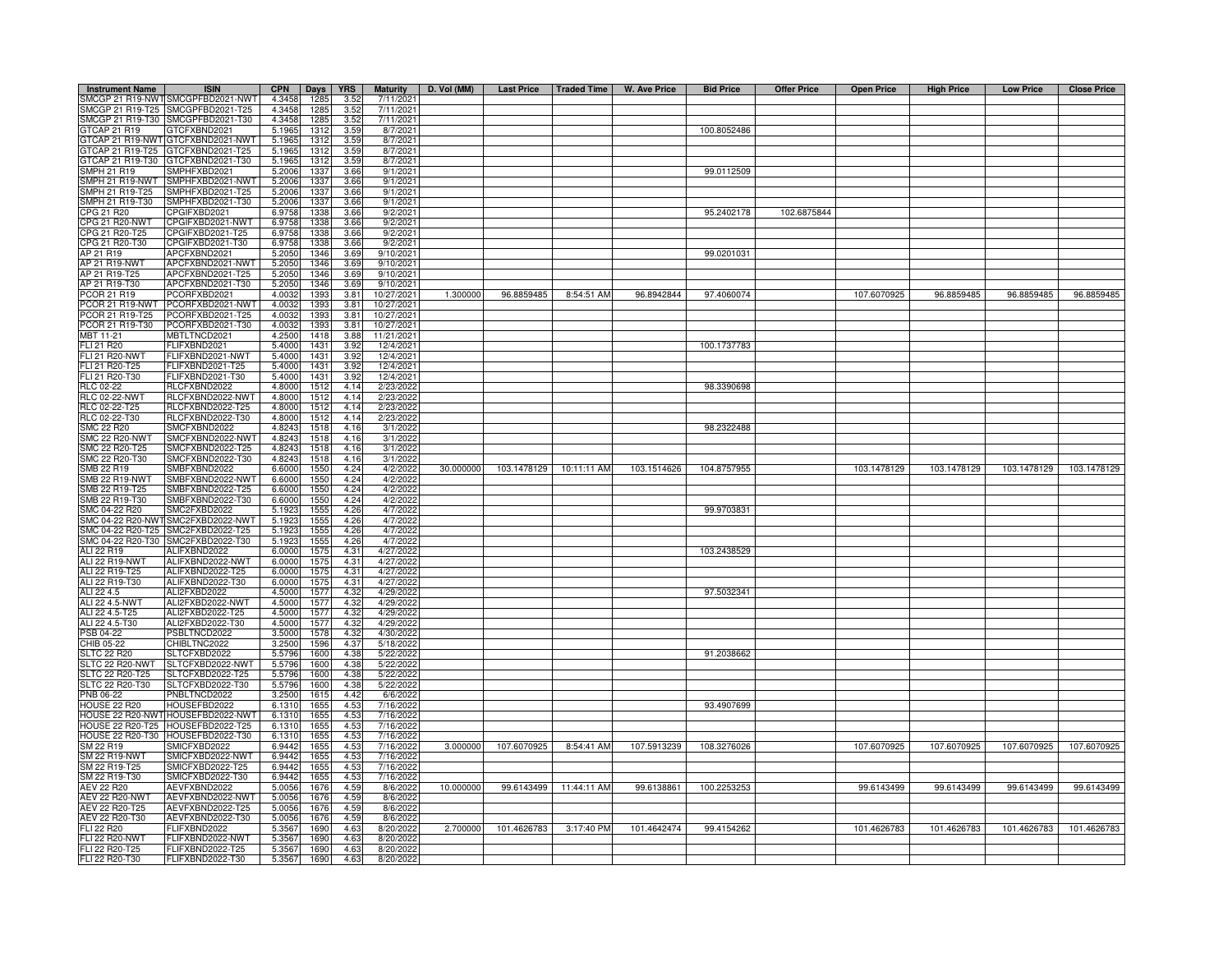| <b>Instrument Name</b>                  | <b>ISIN</b>                                                            | <b>CPN</b>       | Days         | <b>YRS</b>   | <b>Maturity</b>         | D. Vol (MM) | <b>Last Price</b>        | Traded Time | W. Ave Price | <b>Bid Price</b> | <b>Offer Price</b> | <b>Open Price</b> | <b>High Price</b> | <b>Low Price</b> | <b>Close Price</b> |
|-----------------------------------------|------------------------------------------------------------------------|------------------|--------------|--------------|-------------------------|-------------|--------------------------|-------------|--------------|------------------|--------------------|-------------------|-------------------|------------------|--------------------|
|                                         | SMCGP 21 R19-NWTSMCGPFBD2021-NWT                                       | 4.3458           | 1285         | 3.52         | 7/11/2021               |             |                          |             |              |                  |                    |                   |                   |                  |                    |
|                                         | SMCGP 21 R19-T25 SMCGPFBD2021-T25<br>SMCGP 21 R19-T30 SMCGPFBD2021-T30 | 4.3458           | 1285<br>1285 | 3.52         | 7/11/2021<br>7/11/2021  |             |                          |             |              |                  |                    |                   |                   |                  |                    |
| GTCAP 21 R19                            | GTCFXBND2021                                                           | 4.3458<br>5.1965 | 1312         | 3.52<br>3.59 | 8/7/2021                |             |                          |             |              | 100.8052486      |                    |                   |                   |                  |                    |
|                                         | GTCAP 21 R19-NWT GTCFXBND2021-NWT                                      | 5.1965           | 1312         | 3.59         | 8/7/2021                |             |                          |             |              |                  |                    |                   |                   |                  |                    |
| GTCAP 21 R19-T25                        | GTCFXBND2021-T25                                                       | 5.1965           | 1312         | 3.59         | 8/7/2021                |             |                          |             |              |                  |                    |                   |                   |                  |                    |
| 3TCAP 21 R19-T30                        | GTCFXBND2021-T30                                                       | 5.1965           | 1312         | 3.59         | 8/7/2021                |             |                          |             |              |                  |                    |                   |                   |                  |                    |
| <b>SMPH 21 R19</b>                      | SMPHFXBD2021                                                           | 5.2006           | 1337         | 3.66         | 9/1/2021                |             |                          |             |              | 99.0112509       |                    |                   |                   |                  |                    |
| SMPH 21 R19-NWT<br>SMPH 21 R19-T25      | SMPHFXBD2021-NWT<br>SMPHFXBD2021-T25                                   | 5.2006<br>5.2006 | 1337<br>1337 | 3.66<br>3.66 | 9/1/2021<br>9/1/2021    |             |                          |             |              |                  |                    |                   |                   |                  |                    |
| SMPH 21 R19-T30                         | SMPHFXBD2021-T30                                                       | 5.2006           | 1337         | 3.66         | 9/1/2021                |             |                          |             |              |                  |                    |                   |                   |                  |                    |
| CPG 21 R20                              | CPGIFXBD2021                                                           | 6.9758           | 1338         | 3.66         | 9/2/2021                |             |                          |             |              | 95.2402178       | 102.6875844        |                   |                   |                  |                    |
| CPG 21 R20-NWT                          | CPGIFXBD2021-NWT                                                       | 6.9758           | 1338         | 3.66         | 9/2/2021                |             |                          |             |              |                  |                    |                   |                   |                  |                    |
| CPG 21 R20-T25<br>CPG 21 R20-T30        | CPGIFXBD2021-T25<br>CPGIFXBD2021-T30                                   | 6.9758<br>6.9758 | 1338<br>1338 | 3.66<br>3.66 | 9/2/2021<br>9/2/2021    |             |                          |             |              |                  |                    |                   |                   |                  |                    |
| AP 21 R19                               | APCFXBND2021                                                           | 5.2050           | 1346         | 3.69         | 9/10/2021               |             |                          |             |              | 99.0201031       |                    |                   |                   |                  |                    |
| <b>AP 21 R19-NWT</b>                    | APCFXBND2021-NWT                                                       | 5.2050           | 1346         | 3.69         | 9/10/2021               |             |                          |             |              |                  |                    |                   |                   |                  |                    |
| AP 21 R19-T25                           | APCFXBND2021-T25                                                       | 5.2050           | 1346         | 3.69         | 9/10/2021               |             |                          |             |              |                  |                    |                   |                   |                  |                    |
| AP 21 R19-T30<br>PCOR 21 R19            | APCFXBND2021-T30<br>PCORFXBD2021                                       | 5.2050<br>4.0032 | 1346<br>1393 | 3.69<br>3.81 | 9/10/2021<br>10/27/2021 | 1.300000    | 96.8859485               | 8:54:51 AM  | 96.8942844   | 97.4060074       |                    | 107.6070925       | 96.8859485        | 96.8859485       | 96.8859485         |
| PCOR 21 R19-NWT                         | PCORFXBD2021-NWT                                                       | 4.0032           | 1393         | 3.81         | 10/27/2021              |             |                          |             |              |                  |                    |                   |                   |                  |                    |
| PCOR 21 R19-T25                         | PCORFXBD2021-T25                                                       | 4.0032           | 1393         | 3.81         | 10/27/2021              |             |                          |             |              |                  |                    |                   |                   |                  |                    |
| PCOR 21 R19-T30                         | PCORFXBD2021-T30                                                       | 4.0032           | 1393         | 3.81         | 10/27/2021              |             |                          |             |              |                  |                    |                   |                   |                  |                    |
| MBT 11-21                               | MBTLTNCD2021                                                           | 4.2500           | 1418         | 3.88         | 11/21/2021              |             |                          |             |              |                  |                    |                   |                   |                  |                    |
| FLI 21 R20<br><b>FLI 21 R20-NWT</b>     | FLIFXBND2021<br>FLIFXBND2021-NWT                                       | 5.4000<br>5.4000 | 1431<br>1431 | 3.92<br>3.92 | 12/4/2021<br>12/4/2021  |             |                          |             |              | 100.1737783      |                    |                   |                   |                  |                    |
| FLI 21 R20-T25                          | FLIFXBND2021-T25                                                       | 5.4000           | 1431         | 3.92         | 12/4/2021               |             |                          |             |              |                  |                    |                   |                   |                  |                    |
| FLI 21 R20-T30                          | FLIFXBND2021-T30                                                       | 5.4000           | 1431         | 3.92         | 12/4/2021               |             |                          |             |              |                  |                    |                   |                   |                  |                    |
| RLC 02-22                               | RLCFXBND2022                                                           | 4.8000           | 1512         | 4.14         | 2/23/2022               |             |                          |             |              | 98.3390698       |                    |                   |                   |                  |                    |
| <b>RLC 02-22-NWT</b>                    | RLCFXBND2022-NWT                                                       | 4.8000<br>4.8000 | 1512         | 4.14<br>4.14 | 2/23/2022               |             |                          |             |              |                  |                    |                   |                   |                  |                    |
| RLC 02-22-T25<br>RLC 02-22-T30          | RLCFXBND2022-T25<br>RLCFXBND2022-T30                                   | 4.8000           | 1512<br>1512 | 4.14         | 2/23/2022<br>2/23/2022  |             |                          |             |              |                  |                    |                   |                   |                  |                    |
| <b>SMC 22 R20</b>                       | SMCFXBND2022                                                           | 4.8243           | 1518         | 4.16         | 3/1/2022                |             |                          |             |              | 98.2322488       |                    |                   |                   |                  |                    |
| <b>SMC 22 R20-NWT</b>                   | SMCFXBND2022-NWT                                                       | 4.8243           | 1518         | 4.16         | 3/1/2022                |             |                          |             |              |                  |                    |                   |                   |                  |                    |
| SMC 22 R20-T25                          | SMCFXBND2022-T25                                                       | 4.8243           | 1518         | 4.16         | 3/1/2022                |             |                          |             |              |                  |                    |                   |                   |                  |                    |
| SMC 22 R20-T30                          | SMCFXBND2022-T30<br>SMBFXBND2022                                       | 4.824<br>6.6000  | 1518<br>155  | 4.16<br>4.24 | 3/1/2022<br>4/2/2022    | 30.000000   | 103.1478129  10:11:11 AM |             | 103.1514626  | 104.8757955      |                    | 103.1478129       | 103.1478129       | 103.1478129      | 103.1478129        |
| SMB 22 R19<br>SMB 22 R19-NWT            | SMBFXBND2022-NW1                                                       | 6.6000           | 1550         | 4.24         | 4/2/2022                |             |                          |             |              |                  |                    |                   |                   |                  |                    |
| SMB 22 R19-T25                          | SMBFXBND2022-T25                                                       | 6.6000           | 1550         | 4.24         | 4/2/2022                |             |                          |             |              |                  |                    |                   |                   |                  |                    |
| SMB 22 R19-T30                          | SMBFXBND2022-T30                                                       | 6.6000           | 1550         | 4.24         | 4/2/2022                |             |                          |             |              |                  |                    |                   |                   |                  |                    |
| SMC 04-22 R20<br>SMC 04-22 R20-NWT      | SMC2FXBD2022<br>SMC2FXBD2022-NWT                                       | 5.1923<br>5.1923 | 1555<br>155  | 4.26<br>4.26 | 4/7/2022<br>4/7/2022    |             |                          |             |              | 99.9703831       |                    |                   |                   |                  |                    |
| MC 04-22 R20-T25                        | SMC2FXBD2022-T25                                                       | 5.1923           | 155          | 4.26         | 4/7/2022                |             |                          |             |              |                  |                    |                   |                   |                  |                    |
| MC 04-22 R20-T30                        | SMC2FXBD2022-T30                                                       | 5.192            | 155          | 4.26         | 4/7/2022                |             |                          |             |              |                  |                    |                   |                   |                  |                    |
| ALI 22 R19                              | ALIFXBND2022                                                           | 6.0000           | 157          | 4.31         | 4/27/2022               |             |                          |             |              | 103.2438529      |                    |                   |                   |                  |                    |
| <b>ALI 22 R19-NWT</b>                   | ALIFXBND2022-NWT                                                       | 6.0000           | 157          | 4.31         | 4/27/2022               |             |                          |             |              |                  |                    |                   |                   |                  |                    |
| ALI 22 R19-T25<br>ALI 22 R19-T30        | ALIFXBND2022-T25<br>ALIFXBND2022-T30                                   | 6.0000<br>6.0000 | 157<br>1575  | 4.31<br>4.31 | 4/27/2022<br>4/27/2022  |             |                          |             |              |                  |                    |                   |                   |                  |                    |
| ALI 22 4.5                              | ALI2FXBD2022                                                           | 4.5000           | 1577         | 4.32         | 4/29/2022               |             |                          |             |              | 97.5032341       |                    |                   |                   |                  |                    |
| ALI 22 4.5-NWT                          | ALI2FXBD2022-NWT                                                       | 4.5000           | 1577         | 4.32         | 4/29/2022               |             |                          |             |              |                  |                    |                   |                   |                  |                    |
| ALI 22 4.5-T25                          | ALI2FXBD2022-T25                                                       | 4.5000           | 1577         | 4.32         | 4/29/2022               |             |                          |             |              |                  |                    |                   |                   |                  |                    |
| ALI 22 4.5-T30<br>PSB 04-22             | ALI2FXBD2022-T30<br>PSBLTNCD2022                                       | 4.5000<br>3.5000 | 1577<br>1578 | 4.32<br>4.32 | 4/29/2022<br>4/30/2022  |             |                          |             |              |                  |                    |                   |                   |                  |                    |
| CHIB 05-22                              | CHIBLTNC2022                                                           | 3.2500           | 1596         | 4.37         | 5/18/2022               |             |                          |             |              |                  |                    |                   |                   |                  |                    |
| <b>SLTC 22 R20</b>                      | SLTCFXBD2022                                                           | 5.5796           | 1600         | 4.38         | 5/22/2022               |             |                          |             |              | 91.2038662       |                    |                   |                   |                  |                    |
| SLTC 22 R20-NWT                         | SLTCFXBD2022-NWT                                                       | 5.5796           | 1600         | 4.38         | 5/22/2022               |             |                          |             |              |                  |                    |                   |                   |                  |                    |
| SLTC 22 R20-T25<br>SLTC 22 R20-T30      | SLTCFXBD2022-T25<br>SLTCFXBD2022-T30                                   | 5.5796<br>5.5796 | 1600<br>1600 | 4.38<br>4.38 | 5/22/2022<br>5/22/2022  |             |                          |             |              |                  |                    |                   |                   |                  |                    |
| PNB 06-22                               | PNBLTNCD2022                                                           | 3.2500           | 1615         | 4.42         | 6/6/2022                |             |                          |             |              |                  |                    |                   |                   |                  |                    |
| HOUSE 22 R20                            | HOUSEFBD2022                                                           | 6.1310           | 1655         | 4.53         | 7/16/2022               |             |                          |             |              | 93.4907699       |                    |                   |                   |                  |                    |
|                                         | HOUSE 22 R20-NWT HOUSEFBD2022-NWT                                      | 6.1310           | 1655         | 4.53         | 7/16/2022               |             |                          |             |              |                  |                    |                   |                   |                  |                    |
|                                         | HOUSE 22 R20-T25 HOUSEFBD2022-T25<br>HOUSE 22 R20-T30 HOUSEFBD2022-T30 | 6.1310           | 1655<br>165  | 4.53<br>4.53 | 7/16/2022               |             |                          |             |              |                  |                    |                   |                   |                  |                    |
| SM 22 R19                               | SMICFXBD2022                                                           | 6.1310<br>6.9442 | 165          | 4.53         | 7/16/2022<br>7/16/2022  | 3.000000    | 107.6070925              | 8:54:41 AM  | 107.5913239  | 108.3276026      |                    | 107.6070925       | 107.6070925       | 107.6070925      | 107.6070925        |
| <b>SM 22 R19-NWT</b>                    | SMICFXBD2022-NWT                                                       | 6.9442           | 1655         | 4.53         | 7/16/2022               |             |                          |             |              |                  |                    |                   |                   |                  |                    |
| SM 22 R19-T25                           | SMICFXBD2022-T25                                                       | 6.9442           | 1655         | 4.53         | 7/16/2022               |             |                          |             |              |                  |                    |                   |                   |                  |                    |
| SM 22 R19-T30                           | SMICFXBD2022-T30                                                       | 6.9442           | 1655         | 4.53         | 7/16/2022               |             |                          |             |              |                  |                    |                   |                   |                  |                    |
| <b>AEV 22 R20</b><br>AEV 22 R20-NWT     | AEVFXBND2022<br>AEVFXBND2022-NWT                                       | 5.0056<br>5.0056 | 1676<br>1676 | 4.59<br>4.59 | 8/6/2022<br>8/6/2022    | 10.000000   | 99.6143499               | 11:44:11 AM | 99.6138861   | 100.2253253      |                    | 99.6143499        | 99.6143499        | 99.6143499       | 99.6143499         |
| AEV 22 R20-T25                          | AEVFXBND2022-T25                                                       | 5.0056           | 1676         | 4.59         | 8/6/2022                |             |                          |             |              |                  |                    |                   |                   |                  |                    |
| AEV 22 R20-T30                          | AEVFXBND2022-T30                                                       | 5.0056           | 1676         | 4.59         | 8/6/2022                |             |                          |             |              |                  |                    |                   |                   |                  |                    |
| FLI 22 R20                              | FLIFXBND2022                                                           | 5.356            | 169          | 4.63         | 8/20/2022               | 2.700000    | 101.4626783              | 3:17:40 PM  | 101.4642474  | 99.4154262       |                    | 101.4626783       | 101.4626783       | 101.4626783      | 101.4626783        |
| <b>FLI 22 R20-NWT</b><br>FLI 22 R20-T25 | FLIFXBND2022-NWT<br>FLIFXBND2022-T25                                   | 5.3567<br>5.3567 | 1690<br>1690 | 4.63<br>4.63 | 8/20/2022<br>8/20/2022  |             |                          |             |              |                  |                    |                   |                   |                  |                    |
| FLI 22 R20-T30                          | FLIFXBND2022-T30                                                       | 5.3567           | 1690         | 4.63         | 8/20/2022               |             |                          |             |              |                  |                    |                   |                   |                  |                    |
|                                         |                                                                        |                  |              |              |                         |             |                          |             |              |                  |                    |                   |                   |                  |                    |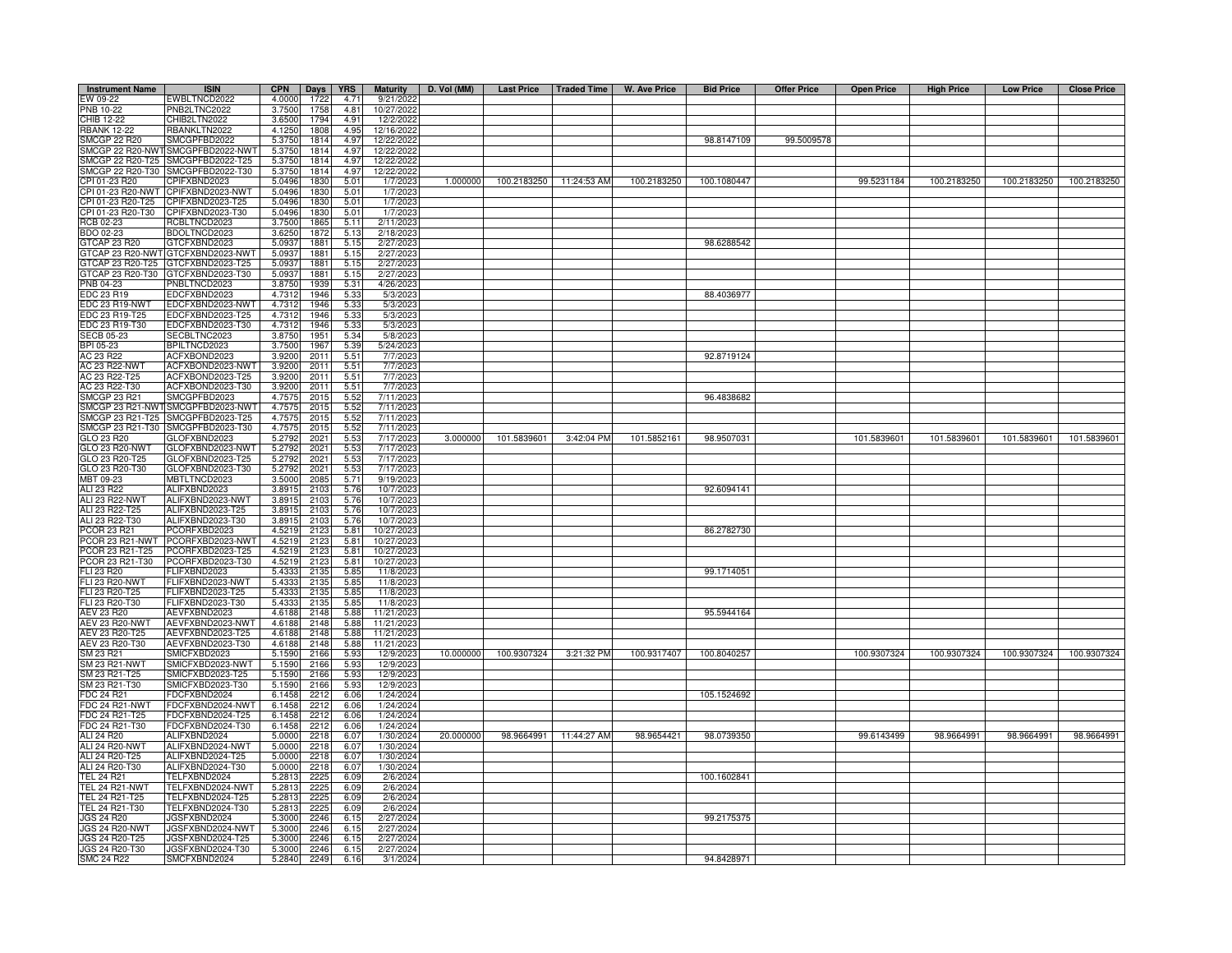| <b>Instrument Name</b>                         | <b>ISIN</b>                          | <b>CPN</b>       | Days         | <b>YRS</b>   | <b>Maturity</b>          | D. Vol (MM) | Last Price   Traded Time |                        | W. Ave Price | <b>Bid Price</b> | <b>Offer Price</b> | <b>Open Price</b> | <b>High Price</b> | <b>Low Price</b> | <b>Close Price</b> |
|------------------------------------------------|--------------------------------------|------------------|--------------|--------------|--------------------------|-------------|--------------------------|------------------------|--------------|------------------|--------------------|-------------------|-------------------|------------------|--------------------|
| EW 09-22                                       | EWBLTNCD2022                         | 4.0000           | 1722         | 4.71         | 9/21/2022                |             |                          |                        |              |                  |                    |                   |                   |                  |                    |
| PNB 10-22                                      | PNB2LTNC2022                         | 3.7500           | 1758         | 4.81         | 10/27/2022               |             |                          |                        |              |                  |                    |                   |                   |                  |                    |
| CHIB 12-22                                     | CHIB2LTN2022                         | 3.6500           | 1794         | 4.91         | 12/2/2022                |             |                          |                        |              |                  |                    |                   |                   |                  |                    |
| <b>RBANK 12-22</b>                             | RBANKLTN2022                         | 4.1250           | 1808         | 4.95         | 12/16/2022               |             |                          |                        |              |                  |                    |                   |                   |                  |                    |
| <b>SMCGP 22 R20</b>                            | SMCGPFBD2022                         | 5.3750           | 1814         | 4.97         | 12/22/2022               |             |                          |                        |              | 98.8147109       | 99.5009578         |                   |                   |                  |                    |
|                                                | SMCGP 22 R20-NWT SMCGPFBD2022-NWT    | 5.3750           | 1814         | 4.97         | 12/22/2022               |             |                          |                        |              |                  |                    |                   |                   |                  |                    |
| SMCGP 22 R20-T25                               | SMCGPFBD2022-T25                     | 5.3750           | 1814         | 4.97         | 12/22/2022               |             |                          |                        |              |                  |                    |                   |                   |                  |                    |
| SMCGP 22 R20-T30                               | SMCGPFBD2022-T30                     | 5.3750           | 1814         | 4.97         | 12/22/2022               |             |                          |                        |              |                  |                    |                   |                   |                  |                    |
| CPI 01-23 R20<br>PI 01-23 R20-NWT              | PIFXBND2023<br>CPIFXBND2023-NWT      | 5.0496<br>5.0496 | 1830<br>1830 | 5.01<br>5.01 | 1/7/2023<br>1/7/2023     | 1.000000    | 100.2183250              | 11:24:53 AM            | 100.2183250  | 100.1080447      |                    | 99.5231184        | 100.2183250       | 100.2183250      | 100.2183250        |
| PI 01-23 R20-T25                               | CPIFXBND2023-T25                     | 5.0496           | 1830         | 5.01         | 1/7/2023                 |             |                          |                        |              |                  |                    |                   |                   |                  |                    |
| PI 01-23 R20-T30                               | CPIFXBND2023-T30                     | 5.0496           | 183          | 5.01         | 1/7/202                  |             |                          |                        |              |                  |                    |                   |                   |                  |                    |
| RCB 02-23                                      | RCBLTNCD2023                         | 3.7500           | 1865         | 5.11         | 2/11/2023                |             |                          |                        |              |                  |                    |                   |                   |                  |                    |
| BDO 02-23                                      | BDOLTNCD2023                         | 3.6250           | 1872         | 5.13         | 2/18/2023                |             |                          |                        |              |                  |                    |                   |                   |                  |                    |
| 3TCAP 23 R20                                   | GTCFXBND2023                         | 5.093            | 1881         | 5.15         | 2/27/2023                |             |                          |                        |              | 98.6288542       |                    |                   |                   |                  |                    |
|                                                | GTCAP 23 R20-NWT GTCFXBND2023-NWT    | 5.093            | 1881         | 5.15         | 2/27/2023                |             |                          |                        |              |                  |                    |                   |                   |                  |                    |
| TCAP 23 R20-T25                                | GTCFXBND2023-T25                     | 5.093            | 1881         | 5.15         | 2/27/202                 |             |                          |                        |              |                  |                    |                   |                   |                  |                    |
| STCAP 23 R20-T30                               | GTCFXBND2023-T30                     | 5.093            | 1881         | 5.15         | 2/27/202                 |             |                          |                        |              |                  |                    |                   |                   |                  |                    |
| PNB 04-23                                      | PNBLTNCD2023                         | 3.875            | 1939         | 5.31         | 4/26/202                 |             |                          |                        |              |                  |                    |                   |                   |                  |                    |
| EDC 23 R19                                     | EDCFXBND2023                         | 4.731            | 1946         | 5.33         | 5/3/2023                 |             |                          |                        |              | 88.4036977       |                    |                   |                   |                  |                    |
| EDC 23 R19-NWT                                 | EDCFXBND2023-NWT                     | 4.731            | 1946         | 5.33         | 5/3/2023                 |             |                          |                        |              |                  |                    |                   |                   |                  |                    |
| EDC 23 R19-T25                                 | EDCFXBND2023-T25                     | 4.731            | 1946         | 5.33         | 5/3/2023                 |             |                          |                        |              |                  |                    |                   |                   |                  |                    |
| EDC 23 R19-T30                                 | EDCFXBND2023-T30                     | 4.7312           | 1946         | 5.33         | 5/3/2023                 |             |                          |                        |              |                  |                    |                   |                   |                  |                    |
| <b>SECB 05-23</b>                              | SECBLTNC2023                         | 3.8750           | 1951         | 5.34         | 5/8/202                  |             |                          |                        |              |                  |                    |                   |                   |                  |                    |
| BPI 05-23                                      | BPILTNCD2023                         | 3.7500           | 1967         | 5.39         | 5/24/2023                |             |                          |                        |              |                  |                    |                   |                   |                  |                    |
| AC 23 R22                                      | ACFXBOND2023                         | 3.9200           | 2011         | 5.51         | 7/7/2023                 |             |                          |                        |              | 92.8719124       |                    |                   |                   |                  |                    |
| AC 23 R22-NWT                                  | ACFXBOND2023-NWT                     | 3.9200           | 2011         | 5.51         | 7/7/2023                 |             |                          |                        |              |                  |                    |                   |                   |                  |                    |
| AC 23 R22-T25                                  | ACFXBOND2023-T25                     | 3.9200           | 2011         | 5.51         | 7/7/2023                 |             |                          |                        |              |                  |                    |                   |                   |                  |                    |
| AC 23 R22-T30<br><b>SMCGP 23 R21</b>           | ACFXBOND2023-T30<br>SMCGPFBD2023     | 3.9200<br>4.757  | 2011<br>2015 | 5.51<br>5.52 | 7/7/202<br>7/11/2023     |             |                          |                        |              | 96.4838682       |                    |                   |                   |                  |                    |
| SMCGP 23 R21-NWT                               | SMCGPFBD2023-NWT                     | 4.757            | 2015         | 5.52         | 7/11/202                 |             |                          |                        |              |                  |                    |                   |                   |                  |                    |
| SMCGP 23 R21-T25                               | SMCGPFBD2023-T25                     | 4.757            | 2015         | 5.52         | 7/11/202                 |             |                          |                        |              |                  |                    |                   |                   |                  |                    |
| SMCGP 23 R21-T30                               | SMCGPFBD2023-T30                     | 4.757            | 2015         | 5.52         | 7/11/2023                |             |                          |                        |              |                  |                    |                   |                   |                  |                    |
| GLO 23 R20                                     | GLOFXBND2023                         | 5.279            | 2021         | 5.53         | 7/17/2023                | 3.000000    | 101.5839601              | 3:42:04 PM             | 101.5852161  | 98.9507031       |                    | 101.5839601       | 101.5839601       | 101.5839601      | 101.5839601        |
| <b>GLO 23 R20-NWT</b>                          | GLOFXBND2023-NWT                     | 5.279            | 2021         | 5.53         | 7/17/2023                |             |                          |                        |              |                  |                    |                   |                   |                  |                    |
| GLO 23 R20-T25                                 | GLOFXBND2023-T25                     | 5.279            | 2021         | 5.53         | 7/17/2023                |             |                          |                        |              |                  |                    |                   |                   |                  |                    |
| GLO 23 R20-T30                                 | GLOFXBND2023-T30                     | 5.279            | $202 -$      | 5.53         | 7/17/202                 |             |                          |                        |              |                  |                    |                   |                   |                  |                    |
| MBT 09-23                                      | MBTLTNCD2023                         | 3.500            | 2085         | 5.71         | 9/19/2023                |             |                          |                        |              |                  |                    |                   |                   |                  |                    |
| ALI 23 R22                                     | ALIFXBND2023                         | 3.891            | 2103         | 5.76         | 10/7/2023                |             |                          |                        |              | 92.6094141       |                    |                   |                   |                  |                    |
| ALI 23 R22-NWT                                 | ALIFXBND2023-NWT                     | 3.891            | 2103         | 5.76         | 10/7/2023                |             |                          |                        |              |                  |                    |                   |                   |                  |                    |
| ALI 23 R22-T25                                 | ALIFXBND2023-T25                     | 3.891            | 2103         | 5.76         | 10/7/2023                |             |                          |                        |              |                  |                    |                   |                   |                  |                    |
| ALI 23 R22-T30                                 | ALIFXBND2023-T30                     | 3.891            | 2103         | 5.76         | 10/7/2023                |             |                          |                        |              |                  |                    |                   |                   |                  |                    |
| <b>COR 23 R21</b>                              | PCORFXBD2023                         | 4.521            | 2123         | 5.81         | 10/27/2023               |             |                          |                        |              | 86.2782730       |                    |                   |                   |                  |                    |
| COR 23 R21-NWT                                 | PCORFXBD2023-NWT                     | 4.521            | 2123         | 5.81         | 10/27/202                |             |                          |                        |              |                  |                    |                   |                   |                  |                    |
| COR 23 R21-T25                                 | PCORFXBD2023-T25                     | 4.5219           | 2123         | 5.81         | 10/27/2023               |             |                          |                        |              |                  |                    |                   |                   |                  |                    |
| COR 23 R21-T30                                 | PCORFXBD2023-T30                     | 4.5219           | 2123         | 5.81         | 10/27/2023               |             |                          |                        |              |                  |                    |                   |                   |                  |                    |
| <b>LI 23 R20</b>                               | FLIFXBND2023                         | 5.433            | 2135         | 5.85         | 11/8/2023                |             |                          |                        |              | 99.1714051       |                    |                   |                   |                  |                    |
| LI 23 R20-NWT                                  | FLIFXBND2023-NWT                     | 5.433            | 2135         | 5.85         | 11/8/2023                |             |                          |                        |              |                  |                    |                   |                   |                  |                    |
| FLI 23 R20-T25                                 | FLIFXBND2023-T25                     | 5.433            | 2135         | 5.85         | 11/8/202                 |             |                          |                        |              |                  |                    |                   |                   |                  |                    |
| FLI 23 R20-T30                                 | FLIFXBND2023-T30                     | 5.433            | 2135         | 5.85         | 11/8/2023                |             |                          |                        |              |                  |                    |                   |                   |                  |                    |
| AEV 23 R20                                     | AEVFXBND2023                         | 4.6188           | 2148         | 5.88         | 11/21/2023               |             |                          |                        |              | 95.5944164       |                    |                   |                   |                  |                    |
| <b>AEV 23 R20-NWT</b><br>AEV 23 R20-T25        | AEVFXBND2023-NWT<br>AEVFXBND2023-T25 | 4.6188<br>4.6188 | 2148<br>2148 | 5.88<br>5.88 | 11/21/2023<br>11/21/2023 |             |                          |                        |              |                  |                    |                   |                   |                  |                    |
| AEV 23 R20-T30                                 | AEVFXBND2023-T30                     | 4.6188           | 2148         | 5.88         | 11/21/2023               |             |                          |                        |              |                  |                    |                   |                   |                  |                    |
| SM 23 R21                                      | SMICFXBD2023                         | 5.1590           | 2166         | 5.93         | 12/9/2023                | 10.000000   | 100.9307324              | 3:21:32 PM             | 100.9317407  | 100.8040257      |                    | 100.9307324       | 100.9307324       | 100.9307324      | 100.9307324        |
| <b>SM 23 R21-NWT</b>                           | SMICFXBD2023-NWT                     | 5.1590           | 2166         | 5.93         | 12/9/2023                |             |                          |                        |              |                  |                    |                   |                   |                  |                    |
| SM 23 R21-T25                                  | SMICFXBD2023-T25                     | 5.1590           | 2166         | 5.93         | 12/9/202                 |             |                          |                        |              |                  |                    |                   |                   |                  |                    |
| SM 23 R21-T30                                  | SMICFXBD2023-T30                     | 5.1590           | 2166         | 5.93         | 12/9/2023                |             |                          |                        |              |                  |                    |                   |                   |                  |                    |
| FDC 24 R21                                     | FDCFXBND2024                         | 6.1458           | 2212         | 6.06         | 1/24/2024                |             |                          |                        |              | 105.1524692      |                    |                   |                   |                  |                    |
| <b>FDC 24 R21-NWT</b>                          | FDCFXBND2024-NWT                     | 6.1458           | 2212         | 6.06         | 1/24/2024                |             |                          |                        |              |                  |                    |                   |                   |                  |                    |
| FDC 24 R21-T25                                 | DCFXBND2024-T25                      | 6.1458           | 2212         | 6.06         | 1/24/2024                |             |                          |                        |              |                  |                    |                   |                   |                  |                    |
| FDC 24 R21-T30                                 | DCFXBND2024-T30                      | 6.1458           | 2212         | 6.06         | 1/24/2024                |             |                          |                        |              |                  |                    |                   |                   |                  |                    |
| ALI 24 R20                                     | ALIFXBND2024                         | 5.0000           | 2218         | 6.07         | 1/30/2024                | 20.000000   |                          | 98.9664991 11:44:27 AM | 98.9654421   | 98.0739350       |                    | 99.6143499        | 98.9664991        | 98.9664991       | 98.9664991         |
| <b>ALI 24 R20-NWT</b>                          | ALIFXBND2024-NWT                     | 5.0000           | 2218         | 6.07         | 1/30/2024                |             |                          |                        |              |                  |                    |                   |                   |                  |                    |
| ALI 24 R20-T25                                 | ALIFXBND2024-T25                     | 5.0000           | 2218         | 6.07         | 1/30/2024                |             |                          |                        |              |                  |                    |                   |                   |                  |                    |
| ALI 24 R20-T30                                 | ALIFXBND2024-T30                     | 5.0000           | 2218         | 6.07         | 1/30/2024                |             |                          |                        |              |                  |                    |                   |                   |                  |                    |
| <b>TEL 24 R21</b>                              | TELFXBND2024                         | 5.2813           | 2225         | 6.09         | 2/6/2024                 |             |                          |                        |              | 100.1602841      |                    |                   |                   |                  |                    |
| TEL 24 R21-NWT                                 | TELFXBND2024-NWT                     | 5.2813           | 2225         | 6.09         | 2/6/2024                 |             |                          |                        |              |                  |                    |                   |                   |                  |                    |
| TEL 24 R21-T25                                 | TELFXBND2024-T25                     | 5.281            | 2225         | 6.09         | 2/6/2024                 |             |                          |                        |              |                  |                    |                   |                   |                  |                    |
| TEL 24 R21-T30                                 | TELFXBND2024-T30                     | 5.281            | 2225         | 6.09         | 2/6/2024                 |             |                          |                        |              |                  |                    |                   |                   |                  |                    |
| <b>JGS 24 R20</b>                              | JGSFXBND2024                         | 5.3000           | 2246         | 6.15         | 2/27/2024                |             |                          |                        |              | 99.2175375       |                    |                   |                   |                  |                    |
| <b>JGS 24 R20-NWT</b><br><b>JGS 24 R20-T25</b> | JGSFXBND2024-NWT<br>JGSFXBND2024-T25 | 5.300<br>5.300   | 2246<br>2246 | 6.15<br>6.15 | 2/27/2024<br>2/27/2024   |             |                          |                        |              |                  |                    |                   |                   |                  |                    |
| JGS 24 R20-T30                                 | JGSFXBND2024-T30                     | 5.300            | 2246         | 6.15         | 2/27/2024                |             |                          |                        |              |                  |                    |                   |                   |                  |                    |
| SMC 24 R22                                     | SMCFXBND2024                         | 5.2840           | 2249         | 6.16         | 3/1/2024                 |             |                          |                        |              | 94.8428971       |                    |                   |                   |                  |                    |
|                                                |                                      |                  |              |              |                          |             |                          |                        |              |                  |                    |                   |                   |                  |                    |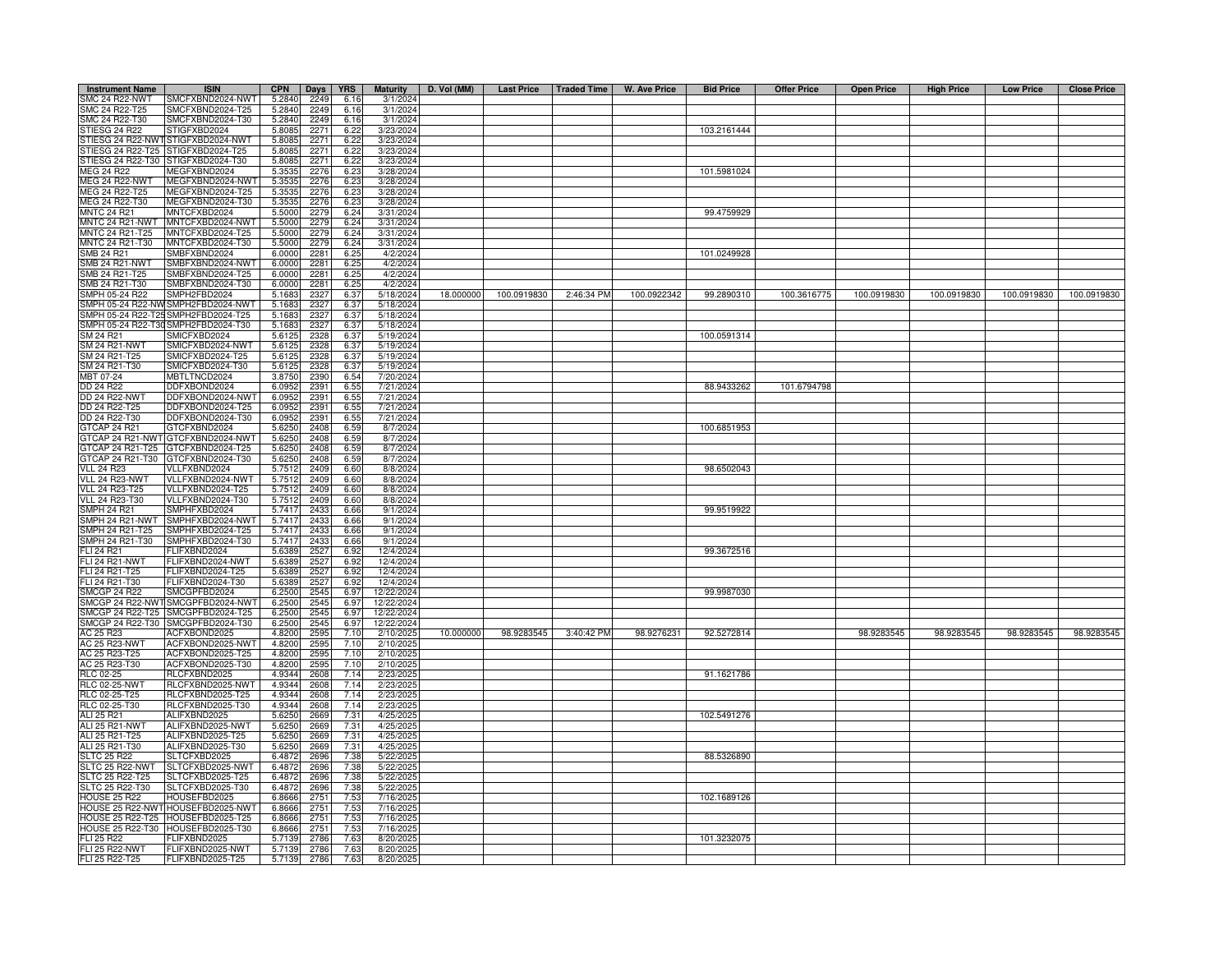| <b>Instrument Name</b>                       | <b>ISIN</b>                                                            | <b>CPN</b>       | Days         | <b>YRS</b>   | <b>Maturity</b>        | D. Vol (MM) | Last Price   Traded Time |            | W. Ave Price | <b>Bid Price</b> | <b>Offer Price</b> | <b>Open Price</b> | <b>High Price</b> | <b>Low Price</b> | <b>Close Price</b> |
|----------------------------------------------|------------------------------------------------------------------------|------------------|--------------|--------------|------------------------|-------------|--------------------------|------------|--------------|------------------|--------------------|-------------------|-------------------|------------------|--------------------|
| SMC 24 R22-NWT                               | SMCFXBND2024-NWT                                                       | 5.2840           | 2249         | 6.16         | 3/1/2024               |             |                          |            |              |                  |                    |                   |                   |                  |                    |
| SMC 24 R22-T25                               | SMCFXBND2024-T25                                                       | 5.2840           | 2249         | 6.16         | 3/1/2024               |             |                          |            |              |                  |                    |                   |                   |                  |                    |
| SMC 24 R22-T30<br>STIESG 24 R22              | SMCFXBND2024-T30                                                       | 5.2840           | 2249<br>2271 | 6.16         | 3/1/2024               |             |                          |            |              | 103.2161444      |                    |                   |                   |                  |                    |
|                                              | STIGFXBD2024<br>STIESG 24 R22-NWT STIGFXBD2024-NWT                     | 5.8085<br>5.8085 | 2271         | 6.22<br>6.22 | 3/23/2024<br>3/23/2024 |             |                          |            |              |                  |                    |                   |                   |                  |                    |
| TIESG 24 R22-T25                             | STIGFXBD2024-T25                                                       | 5.8085           | 2271         | 6.22         | 3/23/2024              |             |                          |            |              |                  |                    |                   |                   |                  |                    |
| TIESG 24 R22-T30                             | STIGFXBD2024-T30                                                       | 5.808            | 2271         | 6.22         | 3/23/2024              |             |                          |            |              |                  |                    |                   |                   |                  |                    |
| MEG 24 R22                                   | MEGFXBND2024                                                           | 5.3535           | 2276         | 6.23         | 3/28/2024              |             |                          |            |              | 101.5981024      |                    |                   |                   |                  |                    |
| <b>MEG 24 R22-NWT</b>                        | MEGFXBND2024-NWT                                                       | 5.3535           | 2276         | 6.23         | 3/28/2024              |             |                          |            |              |                  |                    |                   |                   |                  |                    |
| MEG 24 R22-T25                               | MEGFXBND2024-T25                                                       | 5.353            | 2276         | 6.23         | 3/28/2024              |             |                          |            |              |                  |                    |                   |                   |                  |                    |
| MEG 24 R22-T30                               | MEGFXBND2024-T30                                                       | 5.3535           | 2276         | 6.23         | 3/28/2024              |             |                          |            |              |                  |                    |                   |                   |                  |                    |
| <b>MNTC 24 R21</b><br>MNTC 24 R21-NWT        | MNTCFXBD2024<br>MNTCFXBD2024-NWT                                       | 5.5000<br>5.5000 | 2279<br>2279 | 6.24<br>6.24 | 3/31/2024<br>3/31/2024 |             |                          |            |              | 99.4759929       |                    |                   |                   |                  |                    |
| MNTC 24 R21-T25                              | MNTCFXBD2024-T25                                                       | 5.5000           | 2279         | 6.24         | 3/31/2024              |             |                          |            |              |                  |                    |                   |                   |                  |                    |
| MNTC 24 R21-T30                              | MNTCFXBD2024-T30                                                       | 5.5000           | 2279         | 6.24         | 3/31/2024              |             |                          |            |              |                  |                    |                   |                   |                  |                    |
| SMB 24 R21                                   | SMBFXBND2024                                                           | 6.0000           | 2281         | 6.25         | 4/2/2024               |             |                          |            |              | 101.0249928      |                    |                   |                   |                  |                    |
| SMB 24 R21-NWT                               | SMBFXBND2024-NWT                                                       | 6.0000           | 2281         | 6.25         | 4/2/2024               |             |                          |            |              |                  |                    |                   |                   |                  |                    |
| MB 24 R21-T25                                | SMBFXBND2024-T25                                                       | 6.0000           | 2281         | 6.25         | 4/2/2024               |             |                          |            |              |                  |                    |                   |                   |                  |                    |
| MB 24 R21-T30<br>MPH 05-24 R22               | SMBFXBND2024-T30<br>SMPH2FBD2024                                       | 6.000            | 2281<br>2327 | 6.25         | 4/2/2024               | 18.000000   | 100.0919830              | 2:46:34 PM | 100.0922342  | 99.2890310       | 100.3616775        | 100.0919830       | 100.0919830       | 100.0919830      |                    |
| MPH 05-24 R22-NV                             | SMPH2FBD2024-NWT                                                       | 5.168<br>5.168   | 2327         | 6.37<br>6.37 | 5/18/2024<br>5/18/2024 |             |                          |            |              |                  |                    |                   |                   |                  | 100.0919830        |
| MPH 05-24 R22-T25                            | SMPH2FBD2024-T25                                                       | 5.168            | 2327         | 6.37         | 5/18/2024              |             |                          |            |              |                  |                    |                   |                   |                  |                    |
|                                              | SMPH 05-24 R22-T30 SMPH2FBD2024-T30                                    | 5.168            | 2327         | 6.37         | 5/18/2024              |             |                          |            |              |                  |                    |                   |                   |                  |                    |
| SM 24 R21                                    | SMICFXBD2024                                                           | 5.612            | 2328         | 6.37         | 5/19/2024              |             |                          |            |              | 100.0591314      |                    |                   |                   |                  |                    |
| SM 24 R21-NWT                                | SMICFXBD2024-NWT                                                       | 5.612            | 2328         | 6.37         | 5/19/2024              |             |                          |            |              |                  |                    |                   |                   |                  |                    |
| SM 24 R21-T25                                | SMICFXBD2024-T25                                                       | 5.6125           | 2328         | 6.37         | 5/19/2024              |             |                          |            |              |                  |                    |                   |                   |                  |                    |
| SM 24 R21-T30                                | SMICFXBD2024-T30                                                       | 5.6125           | 2328         | 6.37         | 5/19/2024              |             |                          |            |              |                  |                    |                   |                   |                  |                    |
| MBT 07-24                                    | MBTLTNCD2024                                                           | 3.8750           | 2390         | 6.54         | 7/20/2024              |             |                          |            |              |                  |                    |                   |                   |                  |                    |
| DD 24 R22<br><b>DD 24 R22-NWT</b>            | DDFXBOND2024<br>DDFXBOND2024-NWT                                       | 6.095<br>6.095   | 2391<br>2391 | 6.55<br>6.55 | 7/21/2024<br>7/21/2024 |             |                          |            |              | 88.9433262       | 101.6794798        |                   |                   |                  |                    |
| DD 24 R22-T25                                | DDFXBOND2024-T25                                                       | 6.095            | 2391         | 6.55         | 7/21/2024              |             |                          |            |              |                  |                    |                   |                   |                  |                    |
| DD 24 R22-T30                                | DDFXBOND2024-T30                                                       | 6.095            | 2391         | 6.55         | 7/21/2024              |             |                          |            |              |                  |                    |                   |                   |                  |                    |
| GTCAP 24 R21                                 | GTCFXBND2024                                                           | 5.6250           | 2408         | 6.59         | 8/7/2024               |             |                          |            |              | 100.6851953      |                    |                   |                   |                  |                    |
| GTCAP 24 R21-NWT                             | GTCFXBND2024-NWT                                                       | 5.6250           | 2408         | 6.59         | 8/7/2024               |             |                          |            |              |                  |                    |                   |                   |                  |                    |
| GTCAP 24 R21-T25                             | GTCFXBND2024-T25                                                       | 5.6250           | 2408         | 6.59         | 8/7/2024               |             |                          |            |              |                  |                    |                   |                   |                  |                    |
| GTCAP 24 R21-T30                             | GTCFXBND2024-T30                                                       | 5.625            | 2408         | 6.59         | 8/7/2024               |             |                          |            |              |                  |                    |                   |                   |                  |                    |
| <b>VLL 24 R23</b><br>VLL 24 R23-NWT          | VLLFXBND2024<br>VLLFXBND2024-NWT                                       | 5.751<br>5.7512  | 240<br>2409  | 6.60<br>6.60 | 8/8/2024<br>8/8/2024   |             |                          |            |              | 98.6502043       |                    |                   |                   |                  |                    |
| <b>VLL 24 R23-T25</b>                        | VLLFXBND2024-T25                                                       | 5.751            | 240          | 6.60         | 8/8/2024               |             |                          |            |              |                  |                    |                   |                   |                  |                    |
| <b>VLL 24 R23-T30</b>                        | VLLFXBND2024-T30                                                       | 5.751            | 2409         | 6.60         | 8/8/2024               |             |                          |            |              |                  |                    |                   |                   |                  |                    |
| <b>SMPH 24 R21</b>                           | SMPHFXBD2024                                                           | 5.741            | 2433         | 6.66         | 9/1/2024               |             |                          |            |              | 99.9519922       |                    |                   |                   |                  |                    |
| MPH 24 R21-NWT                               | SMPHFXBD2024-NWT                                                       | 5.741            | 243          | 6.66         | 9/1/2024               |             |                          |            |              |                  |                    |                   |                   |                  |                    |
| MPH 24 R21-T25                               | SMPHFXBD2024-T25                                                       | 5.741            | 2433         | 6.66         | 9/1/2024               |             |                          |            |              |                  |                    |                   |                   |                  |                    |
| MPH 24 R21-T30                               | SMPHFXBD2024-T30                                                       | 5.741            | 243          | 6.66         | 9/1/2024               |             |                          |            |              |                  |                    |                   |                   |                  |                    |
| LI 24 R21<br>LI 24 R21-NWT                   | FLIFXBND2024                                                           | 5.638<br>5.638   | 2527<br>2527 | 6.92<br>6.92 | 12/4/2024<br>12/4/2024 |             |                          |            |              | 99.3672516       |                    |                   |                   |                  |                    |
| LI 24 R21-T25                                | FLIFXBND2024-NWT<br>FLIFXBND2024-T25                                   | 5.638            | 2527         | 6.92         | 12/4/2024              |             |                          |            |              |                  |                    |                   |                   |                  |                    |
| FLI 24 R21-T30                               | FLIFXBND2024-T30                                                       | 5.6389           | 2527         | 6.92         | 12/4/2024              |             |                          |            |              |                  |                    |                   |                   |                  |                    |
| <b>SMCGP 24 R22</b>                          | SMCGPFBD2024                                                           | 6.2500           | 2545         | 6.97         | 12/22/2024             |             |                          |            |              | 99.9987030       |                    |                   |                   |                  |                    |
|                                              | SMCGP 24 R22-NWT SMCGPFBD2024-NWT                                      | 6.2500           | 2545         | 6.97         | 12/22/2024             |             |                          |            |              |                  |                    |                   |                   |                  |                    |
|                                              | SMCGP 24 R22-T25 SMCGPFBD2024-T25                                      | 6.2500           | 2545         | 6.97         | 12/22/2024             |             |                          |            |              |                  |                    |                   |                   |                  |                    |
|                                              | SMCGP 24 R22-T30 SMCGPFBD2024-T30                                      | 6.2500           | 2545         | 6.97         | 12/22/2024             |             |                          |            |              |                  |                    |                   |                   |                  |                    |
| AC 25 R23                                    | ACFXBOND2025                                                           | 4.8200           | 2595         | 7.10         | 2/10/2025              | 10.000000   | 98.9283545               | 3:40:42 PM | 98.9276231   | 92.5272814       |                    | 98.9283545        | 98.9283545        | 98.9283545       | 98.9283545         |
| AC 25 R23-NWT<br>AC 25 R23-T25               | ACFXBOND2025-NWT<br>ACFXBOND2025-T25                                   | 4.8200<br>4.8200 | 2595<br>2595 | 7.10<br>7.10 | 2/10/2025<br>2/10/2025 |             |                          |            |              |                  |                    |                   |                   |                  |                    |
| AC 25 R23-T30                                | ACFXBOND2025-T30                                                       | 4.8200           | 2595         | 7.10         | 2/10/2025              |             |                          |            |              |                  |                    |                   |                   |                  |                    |
| <b>RLC 02-25</b>                             | RLCFXBND2025                                                           | 4.9344           | 2608         | 7.14         | 2/23/202               |             |                          |            |              | 91.1621786       |                    |                   |                   |                  |                    |
| <b>RLC 02-25-NWT</b>                         | RLCFXBND2025-NWT                                                       | 4.9344           | 2608         | 7.14         | 2/23/2025              |             |                          |            |              |                  |                    |                   |                   |                  |                    |
| RLC 02-25-T25<br>RLC 02-25-T30<br>ALI 25 R21 | RLCFXBND2025-T25                                                       | 4.9344           | 2608         | 7.14         | 2/23/2025              |             |                          |            |              |                  |                    |                   |                   |                  |                    |
|                                              | RLCFXBND2025-T30                                                       | 4.9344           | 2608         | 7.14         | 2/23/2025              |             |                          |            |              |                  |                    |                   |                   |                  |                    |
|                                              | ALIFXBND2025                                                           | 5.6250           | 2669         | 7.31         | 4/25/2025              |             |                          |            |              | 102.5491276      |                    |                   |                   |                  |                    |
| ALI 25 R21-NWT<br>ALI 25 R21-T25             | ALIFXBND2025-NWT<br>ALIFXBND2025-T25                                   | 5.6250<br>5.6250 | 2669<br>2669 | 7.31<br>7.31 | 4/25/2025<br>4/25/2025 |             |                          |            |              |                  |                    |                   |                   |                  |                    |
| ALI 25 R21-T30                               | ALIFXBND2025-T30                                                       | 5.6250           | 2669         | 7.31         | 4/25/2025              |             |                          |            |              |                  |                    |                   |                   |                  |                    |
| <b>SLTC 25 R22</b>                           | SLTCFXBD2025                                                           | 6.4872           | 2696         | 7.38         | 5/22/2025              |             |                          |            |              | 88.5326890       |                    |                   |                   |                  |                    |
| SLTC 25 R22-NWT                              | SLTCFXBD2025-NWT                                                       | 6.4872           | 2696         | 7.38         | 5/22/2025              |             |                          |            |              |                  |                    |                   |                   |                  |                    |
| SLTC 25 R22-T25                              | SLTCFXBD2025-T25                                                       | 6.4872           | 2696         | 7.38         | 5/22/2025              |             |                          |            |              |                  |                    |                   |                   |                  |                    |
| SLTC 25 R22-T30                              | SLTCFXBD2025-T30                                                       | 6.4872           | 2696         | 7.38         | 5/22/2025              |             |                          |            |              |                  |                    |                   |                   |                  |                    |
| <b>HOUSE 25 R22</b>                          | HOUSEFBD2025                                                           | 6.8666           | 2751         | 7.53         | 7/16/2025              |             |                          |            |              | 102.1689126      |                    |                   |                   |                  |                    |
|                                              | HOUSE 25 R22-NWT HOUSEFBD2025-NWT                                      | 6.8666           | 2751         | 7.53<br>7.53 | 7/16/2025<br>7/16/2025 |             |                          |            |              |                  |                    |                   |                   |                  |                    |
|                                              | HOUSE 25 R22-T25 HOUSEFBD2025-T25<br>HOUSE 25 R22-T30 HOUSEFBD2025-T30 | 6.8666<br>6.866  | 2751<br>2751 | 7.53         | 7/16/2025              |             |                          |            |              |                  |                    |                   |                   |                  |                    |
| FLI 25 R22                                   | FLIFXBND2025                                                           | 5.7139           | 2786         | 7.63         | 8/20/2025              |             |                          |            |              | 101.3232075      |                    |                   |                   |                  |                    |
| <b>FLI 25 R22-NWT</b>                        | FLIFXBND2025-NWT                                                       | 5.713            | 2786         | 7.63         | 8/20/202               |             |                          |            |              |                  |                    |                   |                   |                  |                    |
| FLI 25 R22-T25                               | FLIFXBND2025-T25                                                       | 5.7139           | 2786         | 7.63         | 8/20/2025              |             |                          |            |              |                  |                    |                   |                   |                  |                    |
|                                              |                                                                        |                  |              |              |                        |             |                          |            |              |                  |                    |                   |                   |                  |                    |